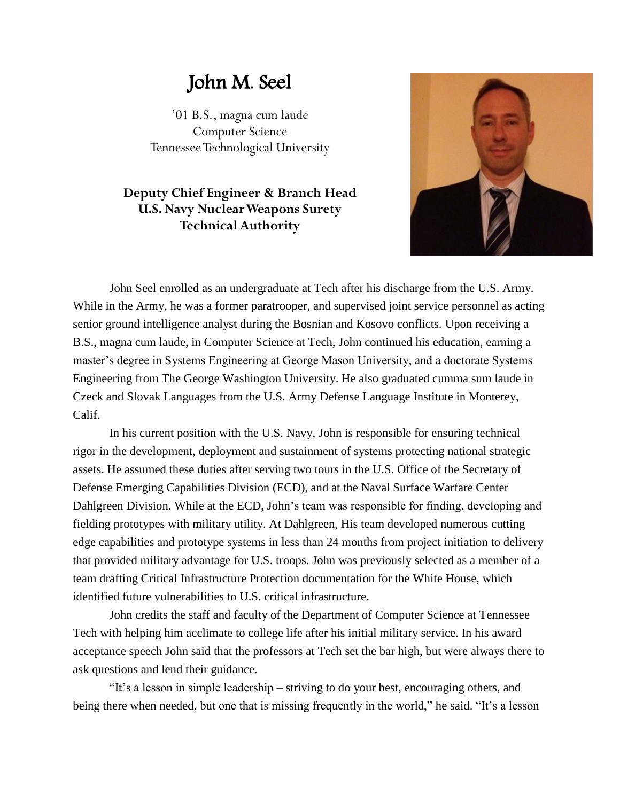## John M. Seel

'01 B.S., magna cum laude Computer Science Tennessee Technological University

## **Deputy Chief Engineer & Branch Head U.S. Navy Nuclear Weapons Surety Technical Authority**



John Seel enrolled as an undergraduate at Tech after his discharge from the U.S. Army. While in the Army, he was a former paratrooper, and supervised joint service personnel as acting senior ground intelligence analyst during the Bosnian and Kosovo conflicts. Upon receiving a B.S., magna cum laude, in Computer Science at Tech, John continued his education, earning a master's degree in Systems Engineering at George Mason University, and a doctorate Systems Engineering from The George Washington University. He also graduated cumma sum laude in Czeck and Slovak Languages from the U.S. Army Defense Language Institute in Monterey, Calif.

In his current position with the U.S. Navy, John is responsible for ensuring technical rigor in the development, deployment and sustainment of systems protecting national strategic assets. He assumed these duties after serving two tours in the U.S. Office of the Secretary of Defense Emerging Capabilities Division (ECD), and at the Naval Surface Warfare Center Dahlgreen Division. While at the ECD, John's team was responsible for finding, developing and fielding prototypes with military utility. At Dahlgreen, His team developed numerous cutting edge capabilities and prototype systems in less than 24 months from project initiation to delivery that provided military advantage for U.S. troops. John was previously selected as a member of a team drafting Critical Infrastructure Protection documentation for the White House, which identified future vulnerabilities to U.S. critical infrastructure.

John credits the staff and faculty of the Department of Computer Science at Tennessee Tech with helping him acclimate to college life after his initial military service. In his award acceptance speech John said that the professors at Tech set the bar high, but were always there to ask questions and lend their guidance.

"It's a lesson in simple leadership – striving to do your best, encouraging others, and being there when needed, but one that is missing frequently in the world," he said. "It's a lesson